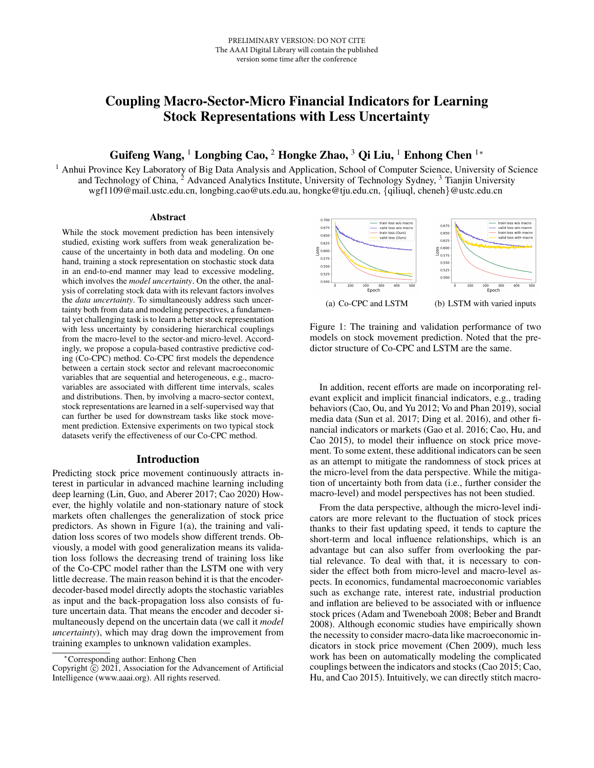# Coupling Macro-Sector-Micro Financial Indicators for Learning Stock Representations with Less Uncertainty

Guifeng Wang, <sup>1</sup> Longbing Cao, <sup>2</sup> Hongke Zhao, <sup>3</sup> Qi Liu, <sup>1</sup> Enhong Chen <sup>1</sup><sup>\*</sup>

<sup>1</sup> Anhui Province Key Laboratory of Big Data Analysis and Application, School of Computer Science, University of Science and Technology of China, <sup>2</sup> Advanced Analytics Institute, University of Technology Sydney, <sup>3</sup> Tianjin University wgf1109@mail.ustc.edu.cn, longbing.cao@uts.edu.au, hongke@tju.edu.cn, {qiliuql, cheneh}@ustc.edu.cn

#### Abstract

While the stock movement prediction has been intensively studied, existing work suffers from weak generalization because of the uncertainty in both data and modeling. On one hand, training a stock representation on stochastic stock data in an end-to-end manner may lead to excessive modeling, which involves the *model uncertainty*. On the other, the analysis of correlating stock data with its relevant factors involves the *data uncertainty*. To simultaneously address such uncertainty both from data and modeling perspectives, a fundamental yet challenging task is to learn a better stock representation with less uncertainty by considering hierarchical couplings from the macro-level to the sector-and micro-level. Accordingly, we propose a copula-based contrastive predictive coding (Co-CPC) method. Co-CPC first models the dependence between a certain stock sector and relevant macroeconomic variables that are sequential and heterogeneous, e.g., macrovariables are associated with different time intervals, scales and distributions. Then, by involving a macro-sector context, stock representations are learned in a self-supervised way that can further be used for downstream tasks like stock movement prediction. Extensive experiments on two typical stock datasets verify the effectiveness of our Co-CPC method.

# Introduction

Predicting stock price movement continuously attracts interest in particular in advanced machine learning including deep learning (Lin, Guo, and Aberer 2017; Cao 2020) However, the highly volatile and non-stationary nature of stock markets often challenges the generalization of stock price predictors. As shown in Figure 1(a), the training and validation loss scores of two models show different trends. Obviously, a model with good generalization means its validation loss follows the decreasing trend of training loss like of the Co-CPC model rather than the LSTM one with very little decrease. The main reason behind it is that the encoderdecoder-based model directly adopts the stochastic variables as input and the back-propagation loss also consists of future uncertain data. That means the encoder and decoder simultaneously depend on the uncertain data (we call it *model uncertainty*), which may drag down the improvement from training examples to unknown validation examples.



Figure 1: The training and validation performance of two models on stock movement prediction. Noted that the predictor structure of Co-CPC and LSTM are the same.

In addition, recent efforts are made on incorporating relevant explicit and implicit financial indicators, e.g., trading behaviors (Cao, Ou, and Yu 2012; Vo and Phan 2019), social media data (Sun et al. 2017; Ding et al. 2016), and other financial indicators or markets (Gao et al. 2016; Cao, Hu, and Cao 2015), to model their influence on stock price movement. To some extent, these additional indicators can be seen as an attempt to mitigate the randomness of stock prices at the micro-level from the data perspective. While the mitigation of uncertainty both from data (i.e., further consider the macro-level) and model perspectives has not been studied.

From the data perspective, although the micro-level indicators are more relevant to the fluctuation of stock prices thanks to their fast updating speed, it tends to capture the short-term and local influence relationships, which is an advantage but can also suffer from overlooking the partial relevance. To deal with that, it is necessary to consider the effect both from micro-level and macro-level aspects. In economics, fundamental macroeconomic variables such as exchange rate, interest rate, industrial production and inflation are believed to be associated with or influence stock prices (Adam and Tweneboah 2008; Beber and Brandt 2008). Although economic studies have empirically shown the necessity to consider macro-data like macroeconomic indicators in stock price movement (Chen 2009), much less work has been on automatically modeling the complicated couplings between the indicators and stocks (Cao 2015; Cao, Hu, and Cao 2015). Intuitively, we can directly stitch macro-

<sup>∗</sup>Corresponding author: Enhong Chen

Copyright  $\odot$  2021, Association for the Advancement of Artificial Intelligence (www.aaai.org). All rights reserved.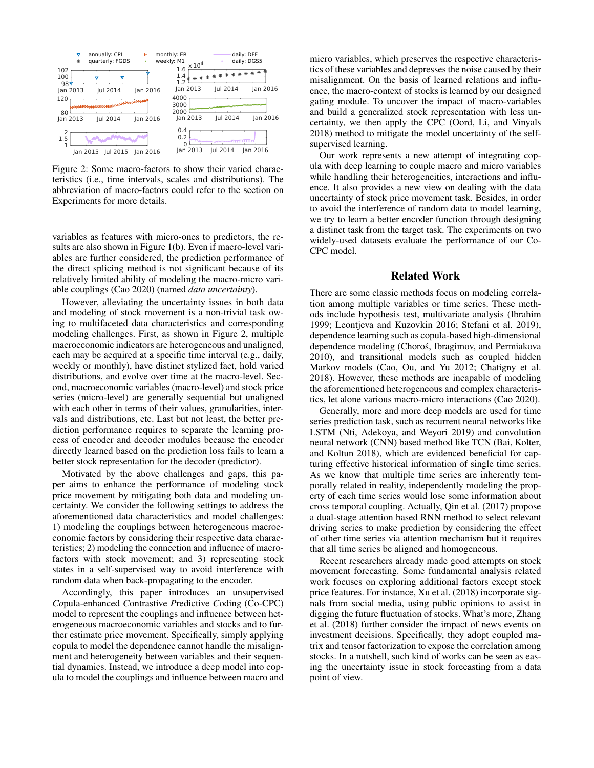

Figure 2: Some macro-factors to show their varied characteristics (i.e., time intervals, scales and distributions). The abbreviation of macro-factors could refer to the section on Experiments for more details.

variables as features with micro-ones to predictors, the results are also shown in Figure 1(b). Even if macro-level variables are further considered, the prediction performance of the direct splicing method is not significant because of its relatively limited ability of modeling the macro-micro variable couplings (Cao 2020) (named *data uncertainty*).

However, alleviating the uncertainty issues in both data and modeling of stock movement is a non-trivial task owing to multifaceted data characteristics and corresponding modeling challenges. First, as shown in Figure 2, multiple macroeconomic indicators are heterogeneous and unaligned, each may be acquired at a specific time interval (e.g., daily, weekly or monthly), have distinct stylized fact, hold varied distributions, and evolve over time at the macro-level. Second, macroeconomic variables (macro-level) and stock price series (micro-level) are generally sequential but unaligned with each other in terms of their values, granularities, intervals and distributions, etc. Last but not least, the better prediction performance requires to separate the learning process of encoder and decoder modules because the encoder directly learned based on the prediction loss fails to learn a better stock representation for the decoder (predictor).

Motivated by the above challenges and gaps, this paper aims to enhance the performance of modeling stock price movement by mitigating both data and modeling uncertainty. We consider the following settings to address the aforementioned data characteristics and model challenges: 1) modeling the couplings between heterogeneous macroeconomic factors by considering their respective data characteristics; 2) modeling the connection and influence of macrofactors with stock movement; and 3) representing stock states in a self-supervised way to avoid interference with random data when back-propagating to the encoder.

Accordingly, this paper introduces an unsupervised *Co*pula-enhanced *C*ontrastive *P*redictive *C*oding (Co-CPC) model to represent the couplings and influence between heterogeneous macroeconomic variables and stocks and to further estimate price movement. Specifically, simply applying copula to model the dependence cannot handle the misalignment and heterogeneity between variables and their sequential dynamics. Instead, we introduce a deep model into copula to model the couplings and influence between macro and

micro variables, which preserves the respective characteristics of these variables and depresses the noise caused by their misalignment. On the basis of learned relations and influence, the macro-context of stocks is learned by our designed gating module. To uncover the impact of macro-variables and build a generalized stock representation with less uncertainty, we then apply the CPC (Oord, Li, and Vinyals 2018) method to mitigate the model uncertainty of the selfsupervised learning.

Our work represents a new attempt of integrating copula with deep learning to couple macro and micro variables while handling their heterogeneities, interactions and influence. It also provides a new view on dealing with the data uncertainty of stock price movement task. Besides, in order to avoid the interference of random data to model learning, we try to learn a better encoder function through designing a distinct task from the target task. The experiments on two widely-used datasets evaluate the performance of our Co-CPC model.

## Related Work

There are some classic methods focus on modeling correlation among multiple variables or time series. These methods include hypothesis test, multivariate analysis (Ibrahim 1999; Leontjeva and Kuzovkin 2016; Stefani et al. 2019), dependence learning such as copula-based high-dimensional dependence modeling (Choroś, Ibragimov, and Permiakova 2010), and transitional models such as coupled hidden Markov models (Cao, Ou, and Yu 2012; Chatigny et al. 2018). However, these methods are incapable of modeling the aforementioned heterogeneous and complex characteristics, let alone various macro-micro interactions (Cao 2020).

Generally, more and more deep models are used for time series prediction task, such as recurrent neural networks like LSTM (Nti, Adekoya, and Weyori 2019) and convolution neural network (CNN) based method like TCN (Bai, Kolter, and Koltun 2018), which are evidenced beneficial for capturing effective historical information of single time series. As we know that multiple time series are inherently temporally related in reality, independently modeling the property of each time series would lose some information about cross temporal coupling. Actually, Qin et al. (2017) propose a dual-stage attention based RNN method to select relevant driving series to make prediction by considering the effect of other time series via attention mechanism but it requires that all time series be aligned and homogeneous.

Recent researchers already made good attempts on stock movement forecasting. Some fundamental analysis related work focuses on exploring additional factors except stock price features. For instance, Xu et al. (2018) incorporate signals from social media, using public opinions to assist in digging the future fluctuation of stocks. What's more, Zhang et al. (2018) further consider the impact of news events on investment decisions. Specifically, they adopt coupled matrix and tensor factorization to expose the correlation among stocks. In a nutshell, such kind of works can be seen as easing the uncertainty issue in stock forecasting from a data point of view.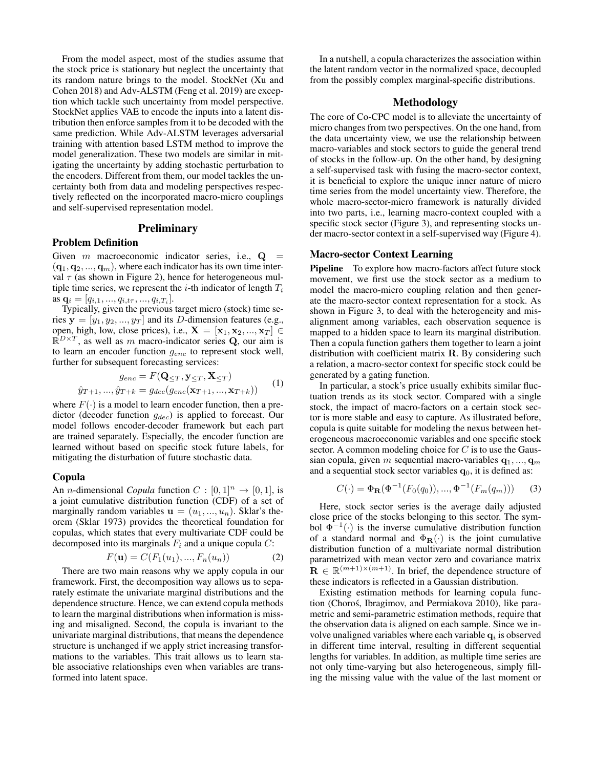From the model aspect, most of the studies assume that the stock price is stationary but neglect the uncertainty that its random nature brings to the model. StockNet (Xu and Cohen 2018) and Adv-ALSTM (Feng et al. 2019) are exception which tackle such uncertainty from model perspective. StockNet applies VAE to encode the inputs into a latent distribution then enforce samples from it to be decoded with the same prediction. While Adv-ALSTM leverages adversarial training with attention based LSTM method to improve the model generalization. These two models are similar in mitigating the uncertainty by adding stochastic perturbation to the encoders. Different from them, our model tackles the uncertainty both from data and modeling perspectives respectively reflected on the incorporated macro-micro couplings and self-supervised representation model.

# Preliminary

## Problem Definition

Given  $m$  macroeconomic indicator series, i.e.,  $Q =$  $(q_1, q_2, ..., q_m)$ , where each indicator has its own time interval  $\tau$  (as shown in Figure 2), hence for heterogeneous multiple time series, we represent the *i*-th indicator of length  $T_i$ as  $\mathbf{q}_i = [q_{i,1},...,q_{i,t\tau},...,q_{i,T_i}].$ 

Typically, given the previous target micro (stock) time series  $y = [y_1, y_2, ..., y_T]$  and its D-dimension features (e.g., open, high, low, close prices), i.e.,  $X = [\mathbf{x}_1, \mathbf{x}_2, ..., \mathbf{x}_T] \in$  $\mathbb{R}^{D\times T}$ , as well as m macro-indicator series Q, our aim is to learn an encoder function  $g_{enc}$  to represent stock well, further for subsequent forecasting services:

$$
g_{enc} = F(\mathbf{Q}_{\leq T}, \mathbf{y}_{\leq T}, \mathbf{X}_{\leq T})
$$
  

$$
\hat{y}_{T+1}, \dots, \hat{y}_{T+k} = g_{dec}(g_{enc}(\mathbf{x}_{T+1}, \dots, \mathbf{x}_{T+k}))
$$
 (1)

where  $F(\cdot)$  is a model to learn encoder function, then a predictor (decoder function  $g_{dec}$ ) is applied to forecast. Our model follows encoder-decoder framework but each part are trained separately. Especially, the encoder function are learned without based on specific stock future labels, for mitigating the disturbation of future stochastic data.

#### Copula

An *n*-dimensional *Copula* function  $C : [0,1]^n \rightarrow [0,1]$ , is a joint cumulative distribution function (CDF) of a set of marginally random variables  $\mathbf{u} = (u_1, ..., u_n)$ . Sklar's theorem (Sklar 1973) provides the theoretical foundation for copulas, which states that every multivariate CDF could be decomposed into its marginals  $F_i$  and a unique copula  $C$ :

$$
F(\mathbf{u}) = C(F_1(u_1), ..., F_n(u_n))
$$
 (2)

There are two main reasons why we apply copula in our framework. First, the decomposition way allows us to separately estimate the univariate marginal distributions and the dependence structure. Hence, we can extend copula methods to learn the marginal distributions when information is missing and misaligned. Second, the copula is invariant to the univariate marginal distributions, that means the dependence structure is unchanged if we apply strict increasing transformations to the variables. This trait allows us to learn stable associative relationships even when variables are transformed into latent space.

In a nutshell, a copula characterizes the association within the latent random vector in the normalized space, decoupled from the possibly complex marginal-specific distributions.

# Methodology

The core of Co-CPC model is to alleviate the uncertainty of micro changes from two perspectives. On the one hand, from the data uncertainty view, we use the relationship between macro-variables and stock sectors to guide the general trend of stocks in the follow-up. On the other hand, by designing a self-supervised task with fusing the macro-sector context, it is beneficial to explore the unique inner nature of micro time series from the model uncertainty view. Therefore, the whole macro-sector-micro framework is naturally divided into two parts, i.e., learning macro-context coupled with a specific stock sector (Figure 3), and representing stocks under macro-sector context in a self-supervised way (Figure 4).

## Macro-sector Context Learning

Pipeline To explore how macro-factors affect future stock movement, we first use the stock sector as a medium to model the macro-micro coupling relation and then generate the macro-sector context representation for a stock. As shown in Figure 3, to deal with the heterogeneity and misalignment among variables, each observation sequence is mapped to a hidden space to learn its marginal distribution. Then a copula function gathers them together to learn a joint distribution with coefficient matrix R. By considering such a relation, a macro-sector context for specific stock could be generated by a gating function.

In particular, a stock's price usually exhibits similar fluctuation trends as its stock sector. Compared with a single stock, the impact of macro-factors on a certain stock sector is more stable and easy to capture. As illustrated before, copula is quite suitable for modeling the nexus between heterogeneous macroeconomic variables and one specific stock sector. A common modeling choice for  $C$  is to use the Gaussian copula, given m sequential macro-variables  $q_1, ..., q_m$ and a sequential stock sector variables  $q_0$ , it is defined as:

$$
C(\cdot) = \Phi_{\mathbf{R}}(\Phi^{-1}(F_0(q_0)), ..., \Phi^{-1}(F_m(q_m)))
$$
 (3)

Here, stock sector series is the average daily adjusted close price of the stocks belonging to this sector. The symbol  $\Phi^{-1}(\cdot)$  is the inverse cumulative distribution function of a standard normal and  $\Phi_{\mathbf{R}}(\cdot)$  is the joint cumulative distribution function of a multivariate normal distribution parametrized with mean vector zero and covariance matrix  $\mathbf{R} \in \mathbb{R}^{(m+1)\times(m+1)}$ . In brief, the dependence structure of these indicators is reflected in a Gaussian distribution.

Existing estimation methods for learning copula function (Choroś, Ibragimov, and Permiakova 2010), like parametric and semi-parametric estimation methods, require that the observation data is aligned on each sample. Since we involve unaligned variables where each variable  $q_i$  is observed in different time interval, resulting in different sequential lengths for variables. In addition, as multiple time series are not only time-varying but also heterogeneous, simply filling the missing value with the value of the last moment or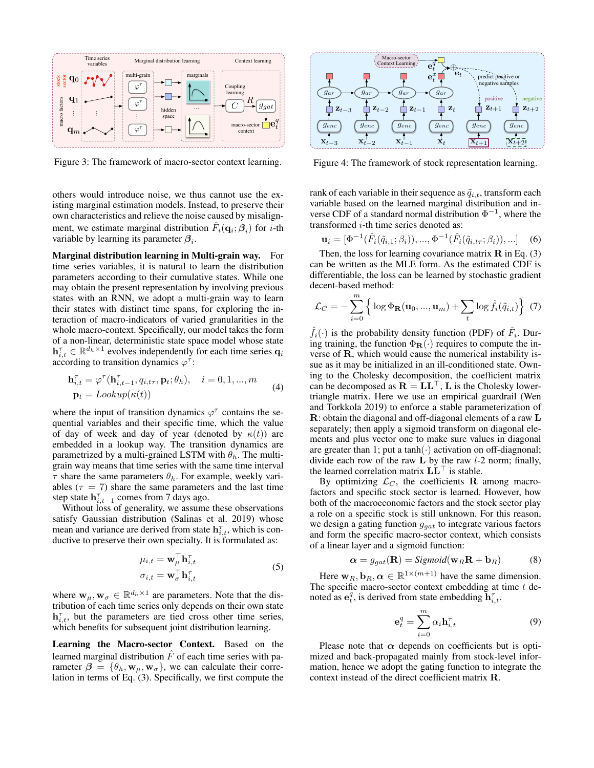

Figure 3: The framework of macro-sector context learning.

others would introduce noise, we thus cannot use the existing marginal estimation models. Instead, to preserve their own characteristics and relieve the noise caused by misalignment, we estimate marginal distribution  $\hat{F}_i(\mathbf{q}_i; \beta_i)$  for *i*-th variable by learning its parameter  $\beta_i$ .

Marginal distribution learning in Multi-grain way. For time series variables, it is natural to learn the distribution parameters according to their cumulative states. While one may obtain the present representation by involving previous states with an RNN, we adopt a multi-grain way to learn their states with distinct time spans, for exploring the interaction of macro-indicators of varied granularities in the whole macro-context. Specifically, our model takes the form of a non-linear, deterministic state space model whose state  $\mathbf{h}_{i,t}^{\tau} \in \mathbb{R}^{d_h \times 1}$  evolves independently for each time series  $\mathbf{q}_i$ according to transition dynamics  $\varphi^{\tau}$ :

$$
\mathbf{h}_{i,t}^{\tau} = \varphi^{\tau}(\mathbf{h}_{i,t-1}^{\tau}, q_{i,t\tau}, \mathbf{p}_t; \theta_h), \quad i = 0, 1, ..., m
$$
  
\n
$$
\mathbf{p}_t = \text{Lookup}(\kappa(t))
$$
 (4)

where the input of transition dynamics  $\varphi^{\tau}$  contains the sequential variables and their specific time, which the value of day of week and day of year (denoted by  $\kappa(t)$ ) are embedded in a lookup way. The transition dynamics are parametrized by a multi-grained LSTM with  $\theta_h$ . The multigrain way means that time series with the same time interval  $\tau$  share the same parameters  $\theta_h$ . For example, weekly variables ( $\tau = 7$ ) share the same parameters and the last time step state  $h_{i,t-1}^{\tau}$  comes from 7 days ago.

Without loss of generality, we assume these observations satisfy Gaussian distribution (Salinas et al. 2019) whose mean and variance are derived from state  $h_{i,t}^{\tau}$ , which is conductive to preserve their own specialty. It is formulated as:

$$
\mu_{i,t} = \mathbf{w}_{\mu}^{\top} \mathbf{h}_{i,t}^{\top}
$$
  
\n
$$
\sigma_{i,t} = \mathbf{w}_{\sigma}^{\top} \mathbf{h}_{i,t}^{\top}
$$
 (5)

where  $\mathbf{w}_{\mu}, \mathbf{w}_{\sigma} \in \mathbb{R}^{d_h \times 1}$  are parameters. Note that the distribution of each time series only depends on their own state  $\mathbf{h}_{i,t}^{\tau}$ , but the parameters are tied cross other time series, which benefits for subsequent joint distribution learning.

Learning the Macro-sector Context. Based on the learned marginal distribution  $\hat{F}$  of each time series with parameter  $\beta = {\theta_h, \mathbf{w}_u, \mathbf{w}_\sigma}$ , we can calculate their correlation in terms of Eq. (3). Specifically, we first compute the



Figure 4: The framework of stock representation learning.

rank of each variable in their sequence as  $\tilde{q}_{i,t}$ , transform each variable based on the learned marginal distribution and inverse CDF of a standard normal distribution  $\Phi^{-1}$ , where the transformed  $i$ -th time series denoted as:

$$
\mathbf{u}_{i} = [\Phi^{-1}(\hat{F}_{i}(\tilde{q}_{i,1}; \beta_{i})), ..., \Phi^{-1}(\hat{F}_{i}(\tilde{q}_{i,t\tau}; \beta_{i})), ...]
$$
(6)

Then, the loss for learning covariance matrix  $\bf{R}$  in Eq. (3) can be written as the MLE form. As the estimated CDF is differentiable, the loss can be learned by stochastic gradient decent-based method:

$$
\mathcal{L}_C = -\sum_{i=0}^m \left\{ \log \Phi_{\mathbf{R}}(\mathbf{u}_0, ..., \mathbf{u}_m) + \sum_t \log \hat{f}_i(\tilde{q}_{i,t}) \right\} (7)
$$

 $\hat{f}_i(\cdot)$  is the probability density function (PDF) of  $\hat{F}_i$ . During training, the function  $\Phi_{\mathbf{R}}(\cdot)$  requires to compute the inverse of R, which would cause the numerical instability issue as it may be initialized in an ill-conditioned state. Owning to the Cholesky decomposition, the coefficient matrix can be decomposed as  $\mathbf{R} = \mathbf{L}\mathbf{L}^{\top}$ , L is the Cholesky lowertriangle matrix. Here we use an empirical guardrail (Wen and Torkkola 2019) to enforce a stable parameterization of R: obtain the diagonal and off-diagonal elements of a raw L separately; then apply a sigmoid transform on diagonal elements and plus vector one to make sure values in diagonal are greater than 1; put a tanh( $\cdot$ ) activation on off-diagnonal; divide each row of the raw  $\bf{L}$  by the raw  $l$ -2 norm; finally, the learned correlation matrix  $LL^{\dagger}$  is stable.

By optimizing  $\mathcal{L}_C$ , the coefficients R among macrofactors and specific stock sector is learned. However, how both of the macroeconomic factors and the stock sector play a role on a specific stock is still unknown. For this reason, we design a gating function  $g_{qat}$  to integrate various factors and form the specific macro-sector context, which consists of a linear layer and a sigmoid function:

$$
\alpha = g_{gat}(\mathbf{R}) = Sigmoid(\mathbf{w}_R \mathbf{R} + \mathbf{b}_R)
$$
 (8)

Here  $\mathbf{w}_R, \mathbf{b}_R, \boldsymbol{\alpha} \in \mathbb{R}^{1 \times (m+1)}$  have the same dimension. The specific macro-sector context embedding at time  $t$  denoted as  $e_t^q$ , is derived from state embedding  $\mathbf{h}_{i,t}^{\tau}$ .

$$
\mathbf{e}_t^q = \sum_{i=0}^m \alpha_i \mathbf{h}_{i,t}^\tau \tag{9}
$$

Please note that  $\alpha$  depends on coefficients but is optimized and back-propagated mainly from stock-level information, hence we adopt the gating function to integrate the context instead of the direct coefficient matrix R.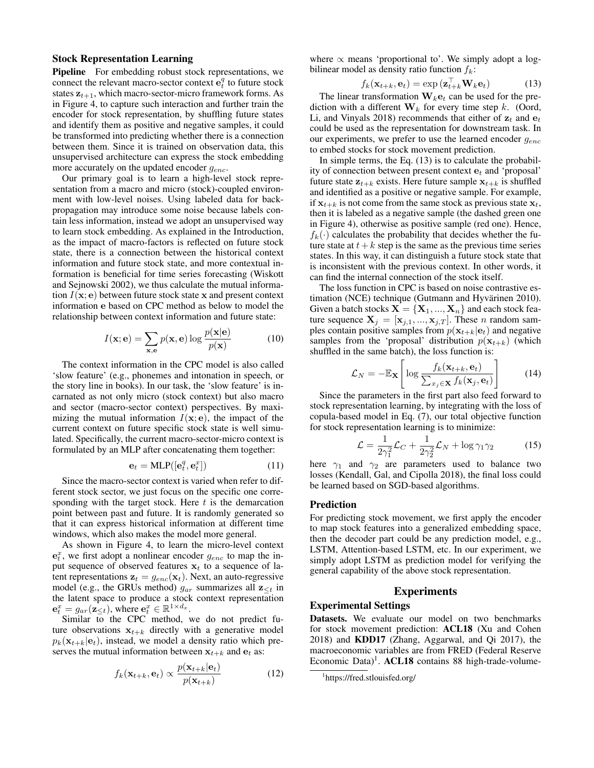## Stock Representation Learning

Pipeline For embedding robust stock representations, we connect the relevant macro-sector context  $\mathbf{e}_t^q$  to future stock states  $z_{t+1}$ , which macro-sector-micro framework forms. As in Figure 4, to capture such interaction and further train the encoder for stock representation, by shuffling future states and identify them as positive and negative samples, it could be transformed into predicting whether there is a connection between them. Since it is trained on observation data, this unsupervised architecture can express the stock embedding more accurately on the updated encoder  $g_{enc}$ .

Our primary goal is to learn a high-level stock representation from a macro and micro (stock)-coupled environment with low-level noises. Using labeled data for backpropagation may introduce some noise because labels contain less information, instead we adopt an unsupervised way to learn stock embedding. As explained in the Introduction, as the impact of macro-factors is reflected on future stock state, there is a connection between the historical context information and future stock state, and more contextual information is beneficial for time series forecasting (Wiskott and Sejnowski 2002), we thus calculate the mutual information  $I(x; e)$  between future stock state x and present context information e based on CPC method as below to model the relationship between context information and future state:

$$
I(\mathbf{x}; \mathbf{e}) = \sum_{\mathbf{x}, \mathbf{e}} p(\mathbf{x}, \mathbf{e}) \log \frac{p(\mathbf{x}|\mathbf{e})}{p(\mathbf{x})}
$$
(10)

The context information in the CPC model is also called 'slow feature' (e.g., phonemes and intonation in speech, or the story line in books). In our task, the 'slow feature' is incarnated as not only micro (stock context) but also macro and sector (macro-sector context) perspectives. By maximizing the mutual information  $I(x; e)$ , the impact of the current context on future specific stock state is well simulated. Specifically, the current macro-sector-micro context is formulated by an MLP after concatenating them together:

$$
\mathbf{e}_t = \text{MLP}([\mathbf{e}_t^q, \mathbf{e}_t^x])
$$
 (11)

Since the macro-sector context is varied when refer to different stock sector, we just focus on the specific one corresponding with the target stock. Here  $t$  is the demarcation point between past and future. It is randomly generated so that it can express historical information at different time windows, which also makes the model more general.

As shown in Figure 4, to learn the micro-level context  $e_t^x$ , we first adopt a nonlinear encoder  $g_{enc}$  to map the input sequence of observed features  $x_t$  to a sequence of latent representations  $z_t = g_{enc}(\mathbf{x}_t)$ . Next, an auto-regressive model (e.g., the GRUs method)  $g_{ar}$  summarizes all  $z_{\leq t}$  in the latent space to produce a stock context representation  $\mathbf{e}_t^x = g_{ar}(\mathbf{z}_{\leq t}), \text{ where } \mathbf{e}_t^x \in \mathbb{R}^{1 \times d_x}.$ 

Similar to the CPC method, we do not predict future observations  $x_{t+k}$  directly with a generative model  $p_k(\mathbf{x}_{t+k}|\mathbf{e}_t)$ , instead, we model a density ratio which preserves the mutual information between  $x_{t+k}$  and  $e_t$  as:

$$
f_k(\mathbf{x}_{t+k}, \mathbf{e}_t) \propto \frac{p(\mathbf{x}_{t+k}|\mathbf{e}_t)}{p(\mathbf{x}_{t+k})}
$$
(12)

where  $\propto$  means 'proportional to'. We simply adopt a logbilinear model as density ratio function  $f_k$ :

$$
f_k(\mathbf{x}_{t+k}, \mathbf{e}_t) = \exp\left(\mathbf{z}_{t+k}^{\top} \mathbf{W}_k \mathbf{e}_t\right) \tag{13}
$$

The linear transformation  $W_k e_t$  can be used for the prediction with a different  $W_k$  for every time step k. (Oord, Li, and Vinyals 2018) recommends that either of  $z_t$  and  $e_t$ could be used as the representation for downstream task. In our experiments, we prefer to use the learned encoder  $g_{enc}$ to embed stocks for stock movement prediction.

In simple terms, the Eq. (13) is to calculate the probability of connection between present context  $e_t$  and 'proposal' future state  $z_{t+k}$  exists. Here future sample  $x_{t+k}$  is shuffled and identified as a positive or negative sample. For example, if  $x_{t+k}$  is not come from the same stock as previous state  $x_t$ , then it is labeled as a negative sample (the dashed green one in Figure 4), otherwise as positive sample (red one). Hence,  $f_k(\cdot)$  calculates the probability that decides whether the future state at  $t+k$  step is the same as the previous time series states. In this way, it can distinguish a future stock state that is inconsistent with the previous context. In other words, it can find the internal connection of the stock itself.

The loss function in CPC is based on noise contrastive estimation (NCE) technique (Gutmann and Hyvärinen 2010). Given a batch stocks  $X = \{X_1, ..., X_n\}$  and each stock feature sequence  $X_j = [\mathbf{x}_{j,1}, ..., \mathbf{x}_{j,T}]$ . These *n* random samples contain positive samples from  $p(\mathbf{x}_{t+k}|\mathbf{e}_t)$  and negative samples from the 'proposal' distribution  $p(\mathbf{x}_{t+k})$  (which shuffled in the same batch), the loss function is:

$$
\mathcal{L}_N = -\mathbb{E}_{\mathbf{X}} \left[ \log \frac{f_k(\mathbf{x}_{t+k}, \mathbf{e}_t)}{\sum_{x_j \in \mathbf{X}} f_k(\mathbf{x}_j, \mathbf{e}_t)} \right]
$$
(14)

Since the parameters in the first part also feed forward to stock representation learning, by integrating with the loss of copula-based model in Eq. (7), our total objective function for stock representation learning is to minimize:

$$
\mathcal{L} = \frac{1}{2\gamma_1^2} \mathcal{L}_C + \frac{1}{2\gamma_2^2} \mathcal{L}_N + \log \gamma_1 \gamma_2 \tag{15}
$$

here  $\gamma_1$  and  $\gamma_2$  are parameters used to balance two losses (Kendall, Gal, and Cipolla 2018), the final loss could be learned based on SGD-based algorithms.

#### Prediction

For predicting stock movement, we first apply the encoder to map stock features into a generalized embedding space, then the decoder part could be any prediction model, e.g., LSTM, Attention-based LSTM, etc. In our experiment, we simply adopt LSTM as prediction model for verifying the general capability of the above stock representation.

# Experiments

#### Experimental Settings

Datasets. We evaluate our model on two benchmarks for stock movement prediction: ACL18 (Xu and Cohen 2018) and KDD17 (Zhang, Aggarwal, and Qi 2017), the macroeconomic variables are from FRED (Federal Reserve Economic Data)<sup>1</sup>. ACL18 contains 88 high-trade-volume-

<sup>1</sup> https://fred.stlouisfed.org/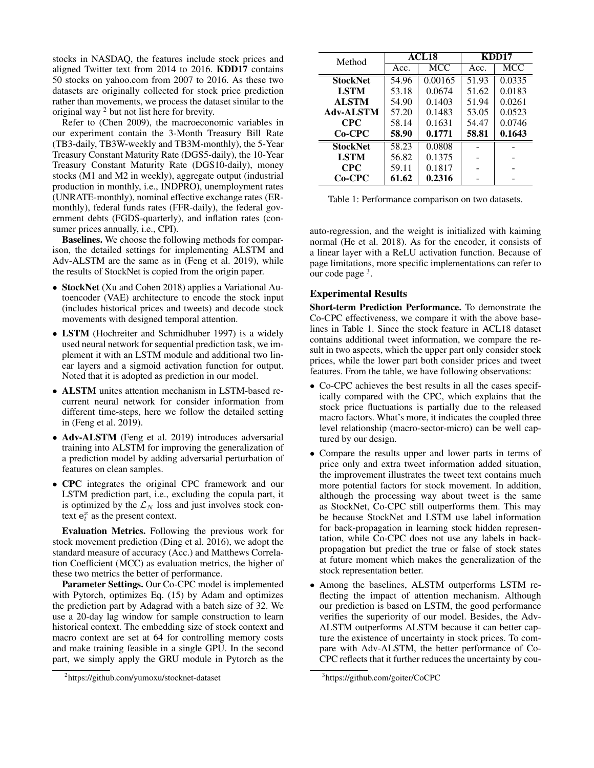stocks in NASDAQ, the features include stock prices and aligned Twitter text from 2014 to 2016. KDD17 contains 50 stocks on yahoo.com from 2007 to 2016. As these two datasets are originally collected for stock price prediction rather than movements, we process the dataset similar to the original way <sup>2</sup> but not list here for brevity.

Refer to (Chen 2009), the macroeconomic variables in our experiment contain the 3-Month Treasury Bill Rate (TB3-daily, TB3W-weekly and TB3M-monthly), the 5-Year Treasury Constant Maturity Rate (DGS5-daily), the 10-Year Treasury Constant Maturity Rate (DGS10-daily), money stocks (M1 and M2 in weekly), aggregate output (industrial production in monthly, i.e., INDPRO), unemployment rates (UNRATE-monthly), nominal effective exchange rates (ERmonthly), federal funds rates (FFR-daily), the federal government debts (FGDS-quarterly), and inflation rates (consumer prices annually, i.e., CPI).

Baselines. We choose the following methods for comparison, the detailed settings for implementing ALSTM and Adv-ALSTM are the same as in (Feng et al. 2019), while the results of StockNet is copied from the origin paper.

- StockNet (Xu and Cohen 2018) applies a Variational Autoencoder (VAE) architecture to encode the stock input (includes historical prices and tweets) and decode stock movements with designed temporal attention.
- LSTM (Hochreiter and Schmidhuber 1997) is a widely used neural network for sequential prediction task, we implement it with an LSTM module and additional two linear layers and a sigmoid activation function for output. Noted that it is adopted as prediction in our model.
- ALSTM unites attention mechanism in LSTM-based recurrent neural network for consider information from different time-steps, here we follow the detailed setting in (Feng et al. 2019).
- Adv-ALSTM (Feng et al. 2019) introduces adversarial training into ALSTM for improving the generalization of a prediction model by adding adversarial perturbation of features on clean samples.
- CPC integrates the original CPC framework and our LSTM prediction part, i.e., excluding the copula part, it is optimized by the  $\mathcal{L}_N$  loss and just involves stock context  $e_t^x$  as the present context.

Evaluation Metrics. Following the previous work for stock movement prediction (Ding et al. 2016), we adopt the standard measure of accuracy (Acc.) and Matthews Correlation Coefficient (MCC) as evaluation metrics, the higher of these two metrics the better of performance.

Parameter Settings. Our Co-CPC model is implemented with Pytorch, optimizes Eq. (15) by Adam and optimizes the prediction part by Adagrad with a batch size of 32. We use a 20-day lag window for sample construction to learn historical context. The embedding size of stock context and macro context are set at 64 for controlling memory costs and make training feasible in a single GPU. In the second part, we simply apply the GRU module in Pytorch as the

| Method           | ACL <sub>18</sub> |         | KDD17 |        |
|------------------|-------------------|---------|-------|--------|
|                  | Acc.              | MCC     | Acc.  | MCC    |
| <b>StockNet</b>  | 54.96             | 0.00165 | 51.93 | 0.0335 |
| <b>LSTM</b>      | 53.18             | 0.0674  | 51.62 | 0.0183 |
| <b>ALSTM</b>     | 54.90             | 0.1403  | 51.94 | 0.0261 |
| <b>Adv-ALSTM</b> | 57.20             | 0.1483  | 53.05 | 0.0523 |
| CPC.             | 58.14             | 0.1631  | 54.47 | 0.0746 |
| $Co-CPC$         | 58.90             | 0.1771  | 58.81 | 0.1643 |
| <b>StockNet</b>  | 58.23             | 0.0808  |       |        |
| <b>LSTM</b>      | 56.82             | 0.1375  |       |        |
| CPC.             | 59.11             | 0.1817  |       |        |
| Co-CPC           | 61.62             | 0.2316  |       |        |

Table 1: Performance comparison on two datasets.

auto-regression, and the weight is initialized with kaiming normal (He et al. 2018). As for the encoder, it consists of a linear layer with a ReLU activation function. Because of page limitations, more specific implementations can refer to our code page  $3$ .

## Experimental Results

Short-term Prediction Performance. To demonstrate the Co-CPC effectiveness, we compare it with the above baselines in Table 1. Since the stock feature in ACL18 dataset contains additional tweet information, we compare the result in two aspects, which the upper part only consider stock prices, while the lower part both consider prices and tweet features. From the table, we have following observations:

- Co-CPC achieves the best results in all the cases specifically compared with the CPC, which explains that the stock price fluctuations is partially due to the released macro factors. What's more, it indicates the coupled three level relationship (macro-sector-micro) can be well captured by our design.
- Compare the results upper and lower parts in terms of price only and extra tweet information added situation, the improvement illustrates the tweet text contains much more potential factors for stock movement. In addition, although the processing way about tweet is the same as StockNet, Co-CPC still outperforms them. This may be because StockNet and LSTM use label information for back-propagation in learning stock hidden representation, while Co-CPC does not use any labels in backpropagation but predict the true or false of stock states at future moment which makes the generalization of the stock representation better.
- Among the baselines, ALSTM outperforms LSTM reflecting the impact of attention mechanism. Although our prediction is based on LSTM, the good performance verifies the superiority of our model. Besides, the Adv-ALSTM outperforms ALSTM because it can better capture the existence of uncertainty in stock prices. To compare with Adv-ALSTM, the better performance of Co-CPC reflects that it further reduces the uncertainty by cou-

<sup>2</sup> https://github.com/yumoxu/stocknet-dataset

<sup>3</sup> https://github.com/goiter/CoCPC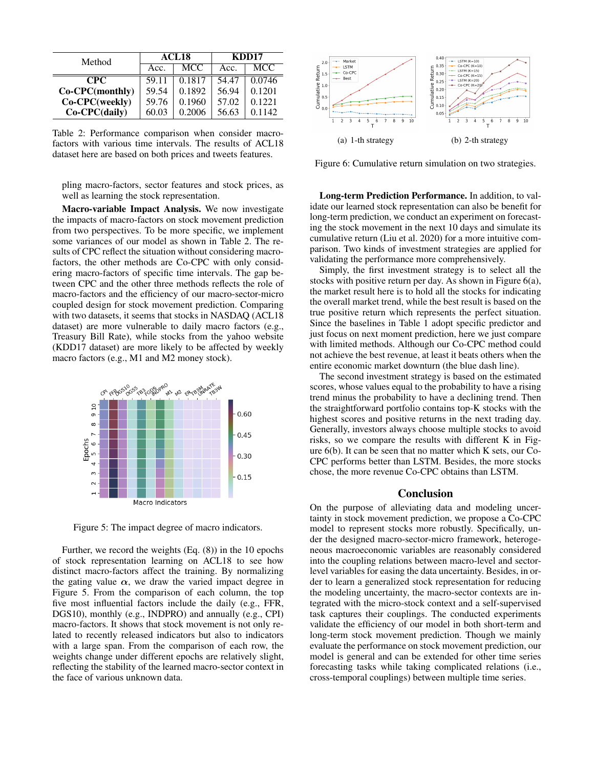| Method          |       | ACL <sub>18</sub> | KDD17 |        |
|-----------------|-------|-------------------|-------|--------|
|                 | Acc.  | MCC               | Acc.  | MCC.   |
| CPC.            | 59.11 | 0.1817            | 54.47 | 0.0746 |
| Co-CPC(monthly) | 59.54 | 0.1892            | 56.94 | 0.1201 |
| Co-CPC(weekly)  | 59.76 | 0.1960            | 57.02 | 0.1221 |
| $Co-CPC(daily)$ | 60.03 | 0.2006            | 56.63 | 0.1142 |

Table 2: Performance comparison when consider macrofactors with various time intervals. The results of ACL18 dataset here are based on both prices and tweets features.

pling macro-factors, sector features and stock prices, as well as learning the stock representation.

Macro-variable Impact Analysis. We now investigate the impacts of macro-factors on stock movement prediction from two perspectives. To be more specific, we implement some variances of our model as shown in Table 2. The results of CPC reflect the situation without considering macrofactors, the other methods are Co-CPC with only considering macro-factors of specific time intervals. The gap between CPC and the other three methods reflects the role of macro-factors and the efficiency of our macro-sector-micro coupled design for stock movement prediction. Comparing with two datasets, it seems that stocks in NASDAQ (ACL18 dataset) are more vulnerable to daily macro factors (e.g., Treasury Bill Rate), while stocks from the yahoo website (KDD17 dataset) are more likely to be affected by weekly macro factors (e.g., M1 and M2 money stock).



Figure 5: The impact degree of macro indicators.

Further, we record the weights (Eq. (8)) in the 10 epochs of stock representation learning on ACL18 to see how distinct macro-factors affect the training. By normalizing the gating value  $\alpha$ , we draw the varied impact degree in Figure 5. From the comparison of each column, the top five most influential factors include the daily (e.g., FFR, DGS10), monthly (e.g., INDPRO) and annually (e.g., CPI) macro-factors. It shows that stock movement is not only related to recently released indicators but also to indicators with a large span. From the comparison of each row, the weights change under different epochs are relatively slight, reflecting the stability of the learned macro-sector context in the face of various unknown data.



Figure 6: Cumulative return simulation on two strategies.

Long-term Prediction Performance. In addition, to validate our learned stock representation can also be benefit for long-term prediction, we conduct an experiment on forecasting the stock movement in the next 10 days and simulate its cumulative return (Liu et al. 2020) for a more intuitive comparison. Two kinds of investment strategies are applied for validating the performance more comprehensively.

Simply, the first investment strategy is to select all the stocks with positive return per day. As shown in Figure 6(a), the market result here is to hold all the stocks for indicating the overall market trend, while the best result is based on the true positive return which represents the perfect situation. Since the baselines in Table 1 adopt specific predictor and just focus on next moment prediction, here we just compare with limited methods. Although our Co-CPC method could not achieve the best revenue, at least it beats others when the entire economic market downturn (the blue dash line).

The second investment strategy is based on the estimated scores, whose values equal to the probability to have a rising trend minus the probability to have a declining trend. Then the straightforward portfolio contains top-K stocks with the highest scores and positive returns in the next trading day. Generally, investors always choose multiple stocks to avoid risks, so we compare the results with different K in Figure 6(b). It can be seen that no matter which K sets, our Co-CPC performs better than LSTM. Besides, the more stocks chose, the more revenue Co-CPC obtains than LSTM.

#### Conclusion

On the purpose of alleviating data and modeling uncertainty in stock movement prediction, we propose a Co-CPC model to represent stocks more robustly. Specifically, under the designed macro-sector-micro framework, heterogeneous macroeconomic variables are reasonably considered into the coupling relations between macro-level and sectorlevel variables for easing the data uncertainty. Besides, in order to learn a generalized stock representation for reducing the modeling uncertainty, the macro-sector contexts are integrated with the micro-stock context and a self-supervised task captures their couplings. The conducted experiments validate the efficiency of our model in both short-term and long-term stock movement prediction. Though we mainly evaluate the performance on stock movement prediction, our model is general and can be extended for other time series forecasting tasks while taking complicated relations (i.e., cross-temporal couplings) between multiple time series.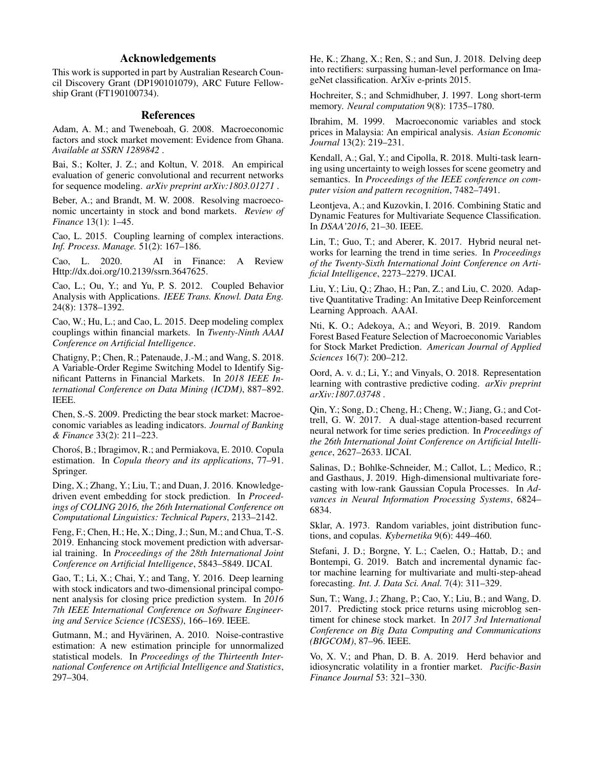# Acknowledgements

This work is supported in part by Australian Research Council Discovery Grant (DP190101079), ARC Future Fellowship Grant (FT190100734).

#### References

Adam, A. M.; and Tweneboah, G. 2008. Macroeconomic factors and stock market movement: Evidence from Ghana. *Available at SSRN 1289842* .

Bai, S.; Kolter, J. Z.; and Koltun, V. 2018. An empirical evaluation of generic convolutional and recurrent networks for sequence modeling. *arXiv preprint arXiv:1803.01271* .

Beber, A.; and Brandt, M. W. 2008. Resolving macroeconomic uncertainty in stock and bond markets. *Review of Finance* 13(1): 1–45.

Cao, L. 2015. Coupling learning of complex interactions. *Inf. Process. Manage.* 51(2): 167–186.

Cao, L. 2020. AI in Finance: A Review Http://dx.doi.org/10.2139/ssrn.3647625.

Cao, L.; Ou, Y.; and Yu, P. S. 2012. Coupled Behavior Analysis with Applications. *IEEE Trans. Knowl. Data Eng.* 24(8): 1378–1392.

Cao, W.; Hu, L.; and Cao, L. 2015. Deep modeling complex couplings within financial markets. In *Twenty-Ninth AAAI Conference on Artificial Intelligence*.

Chatigny, P.; Chen, R.; Patenaude, J.-M.; and Wang, S. 2018. A Variable-Order Regime Switching Model to Identify Significant Patterns in Financial Markets. In *2018 IEEE International Conference on Data Mining (ICDM)*, 887–892. IEEE.

Chen, S.-S. 2009. Predicting the bear stock market: Macroeconomic variables as leading indicators. *Journal of Banking & Finance* 33(2): 211–223.

Choros, B.; Ibragimov, R.; and Permiakova, E. 2010. Copula ´ estimation. In *Copula theory and its applications*, 77–91. Springer.

Ding, X.; Zhang, Y.; Liu, T.; and Duan, J. 2016. Knowledgedriven event embedding for stock prediction. In *Proceedings of COLING 2016, the 26th International Conference on Computational Linguistics: Technical Papers*, 2133–2142.

Feng, F.; Chen, H.; He, X.; Ding, J.; Sun, M.; and Chua, T.-S. 2019. Enhancing stock movement prediction with adversarial training. In *Proceedings of the 28th International Joint Conference on Artificial Intelligence*, 5843–5849. IJCAI.

Gao, T.; Li, X.; Chai, Y.; and Tang, Y. 2016. Deep learning with stock indicators and two-dimensional principal component analysis for closing price prediction system. In *2016 7th IEEE International Conference on Software Engineering and Service Science (ICSESS)*, 166–169. IEEE.

Gutmann, M.; and Hyvärinen, A. 2010. Noise-contrastive estimation: A new estimation principle for unnormalized statistical models. In *Proceedings of the Thirteenth International Conference on Artificial Intelligence and Statistics*, 297–304.

He, K.; Zhang, X.; Ren, S.; and Sun, J. 2018. Delving deep into rectifiers: surpassing human-level performance on ImageNet classification. ArXiv e-prints 2015.

Hochreiter, S.; and Schmidhuber, J. 1997. Long short-term memory. *Neural computation* 9(8): 1735–1780.

Ibrahim, M. 1999. Macroeconomic variables and stock prices in Malaysia: An empirical analysis. *Asian Economic Journal* 13(2): 219–231.

Kendall, A.; Gal, Y.; and Cipolla, R. 2018. Multi-task learning using uncertainty to weigh losses for scene geometry and semantics. In *Proceedings of the IEEE conference on computer vision and pattern recognition*, 7482–7491.

Leontjeva, A.; and Kuzovkin, I. 2016. Combining Static and Dynamic Features for Multivariate Sequence Classification. In *DSAA'2016*, 21–30. IEEE.

Lin, T.; Guo, T.; and Aberer, K. 2017. Hybrid neural networks for learning the trend in time series. In *Proceedings of the Twenty-Sixth International Joint Conference on Artificial Intelligence*, 2273–2279. IJCAI.

Liu, Y.; Liu, Q.; Zhao, H.; Pan, Z.; and Liu, C. 2020. Adaptive Quantitative Trading: An Imitative Deep Reinforcement Learning Approach. AAAI.

Nti, K. O.; Adekoya, A.; and Weyori, B. 2019. Random Forest Based Feature Selection of Macroeconomic Variables for Stock Market Prediction. *American Journal of Applied Sciences* 16(7): 200–212.

Oord, A. v. d.; Li, Y.; and Vinyals, O. 2018. Representation learning with contrastive predictive coding. *arXiv preprint arXiv:1807.03748* .

Qin, Y.; Song, D.; Cheng, H.; Cheng, W.; Jiang, G.; and Cottrell, G. W. 2017. A dual-stage attention-based recurrent neural network for time series prediction. In *Proceedings of the 26th International Joint Conference on Artificial Intelligence*, 2627–2633. IJCAI.

Salinas, D.; Bohlke-Schneider, M.; Callot, L.; Medico, R.; and Gasthaus, J. 2019. High-dimensional multivariate forecasting with low-rank Gaussian Copula Processes. In *Advances in Neural Information Processing Systems*, 6824– 6834.

Sklar, A. 1973. Random variables, joint distribution functions, and copulas. *Kybernetika* 9(6): 449–460.

Stefani, J. D.; Borgne, Y. L.; Caelen, O.; Hattab, D.; and Bontempi, G. 2019. Batch and incremental dynamic factor machine learning for multivariate and multi-step-ahead forecasting. *Int. J. Data Sci. Anal.* 7(4): 311–329.

Sun, T.; Wang, J.; Zhang, P.; Cao, Y.; Liu, B.; and Wang, D. 2017. Predicting stock price returns using microblog sentiment for chinese stock market. In *2017 3rd International Conference on Big Data Computing and Communications (BIGCOM)*, 87–96. IEEE.

Vo, X. V.; and Phan, D. B. A. 2019. Herd behavior and idiosyncratic volatility in a frontier market. *Pacific-Basin Finance Journal* 53: 321–330.